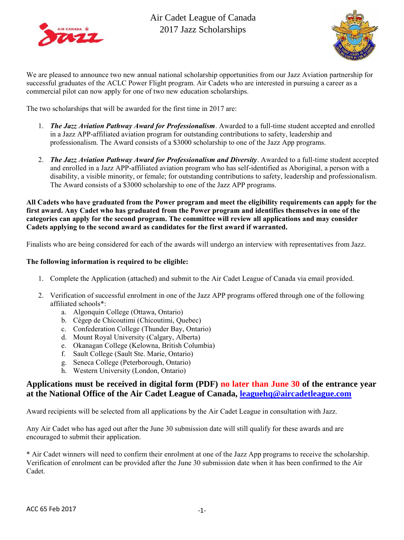



We are pleased to announce two new annual national scholarship opportunities from our Jazz Aviation partnership for successful graduates of the ACLC Power Flight program. Air Cadets who are interested in pursuing a career as a commercial pilot can now apply for one of two new education scholarships.

The two scholarships that will be awarded for the first time in 2017 are:

- 1. *The Jazz Aviation Pathway Award for Professionalism*. Awarded to a full-time student accepted and enrolled in a Jazz APP-affiliated aviation program for outstanding contributions to safety, leadership and professionalism. The Award consists of a \$3000 scholarship to one of the Jazz App programs.
- 2. *The Jazz Aviation Pathway Award for Professionalism and Diversity*. Awarded to a full-time student accepted and enrolled in a Jazz APP-affiliated aviation program who has self-identified as Aboriginal, a person with a disability, a visible minority, or female; for outstanding contributions to safety, leadership and professionalism. The Award consists of a \$3000 scholarship to one of the Jazz APP programs.

**All Cadets who have graduated from the Power program and meet the eligibility requirements can apply for the first award. Any Cadet who has graduated from the Power program and identifies themselves in one of the categories can apply for the second program. The committee will review all applications and may consider Cadets applying to the second award as candidates for the first award if warranted.** 

Finalists who are being considered for each of the awards will undergo an interview with representatives from Jazz.

#### **The following information is required to be eligible:**

- 1. Complete the Application (attached) and submit to the Air Cadet League of Canada via email provided.
- 2. Verification of successful enrolment in one of the Jazz APP programs offered through one of the following affiliated schools\*:
	- a. Algonquin College (Ottawa, Ontario)
	- b. Cégep de Chicoutimi (Chicoutimi, Quebec)
	- c. Confederation College (Thunder Bay, Ontario)
	- d. Mount Royal University (Calgary, Alberta)
	- e. Okanagan College (Kelowna, British Columbia)
	- f. Sault College (Sault Ste. Marie, Ontario)
	- g. Seneca College (Peterborough, Ontario)
	- h. Western University (London, Ontario)

### **Applications must be received in digital form (PDF) no later than June 30 of the entrance year at the National Office of the Air Cadet League of Canada, [leaguehq@aircadetleague.com](mailto:leaguehq@aircadetleague.com)**

Award recipients will be selected from all applications by the Air Cadet League in consultation with Jazz.

Any Air Cadet who has aged out after the June 30 submission date will still qualify for these awards and are encouraged to submit their application.

\* Air Cadet winners will need to confirm their enrolment at one of the Jazz App programs to receive the scholarship. Verification of enrolment can be provided after the June 30 submission date when it has been confirmed to the Air Cadet.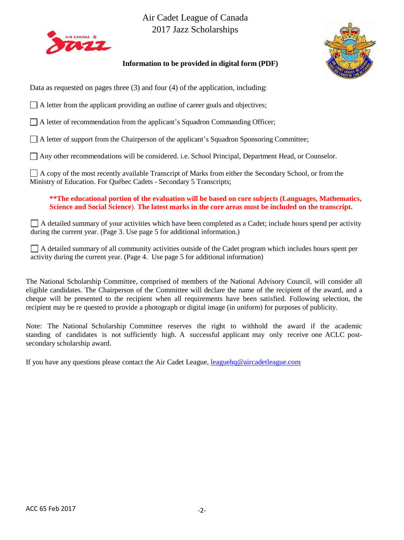



### **Information to be provided in digital form (PDF)**

Data as requested on pages three (3) and four (4) of the application, including:

 $\Box$  A letter from the applicant providing an outline of career goals and objectives;

 $\Box$  A letter of recommendation from the applicant's Squadron Commanding Officer;

 $\Box$  A letter of support from the Chairperson of the applicant's Squadron Sponsoring Committee;

Any other recommendations will be considered. i.e. School Principal, Department Head, or Counselor.

A copy of the most recently available Transcript of Marks from either the Secondary School, or from the Ministry of Education. For Québec Cadets - Secondary 5 Transcripts;

**\*\*The educational portion of the evaluation will be based on core subjects (Languages, Mathematics, Science and Social Science**). **The latest marks in the core areas must be included on the transcript.**

A detailed summary of your activities which have been completed as a Cadet; include hours spend per activity during the current year. (Page 3. Use page 5 for additional information.)

A detailed summary of all community activities outside of the Cadet program which includes hours spent per activity during the current year. (Page 4. Use page 5 for additional information)

The National Scholarship Committee, comprised of members of the National Advisory Council, will consider all eligible candidates. The Chairperson of the Committee will declare the name of the recipient of the award, and a cheque will be presented to the recipient when all requirements have been satisfied. Following selection, the recipient may be re quested to provide a photograph or digital image (in uniform) for purposes of publicity.

Note: The National Scholarship Committee reserves the right to withhold the award if the academic standing of candidates is not sufficiently high. A successful applicant may only receive one ACLC postsecondary scholarship award.

If you have any questions please contact the Air Cadet League, [leaguehq@aircadetleague.com](mailto:leaguehq@aircadetleague.com)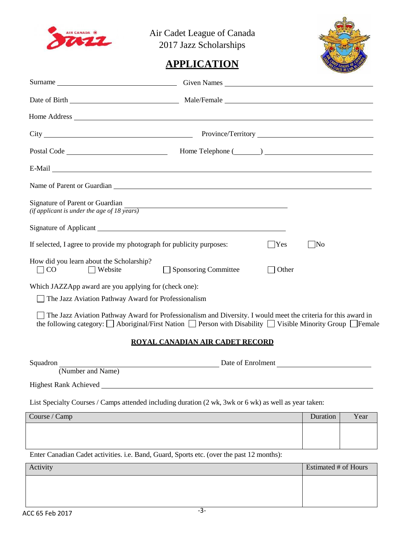



# **APPLICATION**

| Name of Parent or Guardian experience of the contract of the contract of the contract of the contract of the contract of the contract of the contract of the contract of the contract of the contract of the contract of the c |                                                                                                                      |          |                             |      |
|--------------------------------------------------------------------------------------------------------------------------------------------------------------------------------------------------------------------------------|----------------------------------------------------------------------------------------------------------------------|----------|-----------------------------|------|
| Signature of Parent or Guardian<br>(if applicant is under the age of 18 $\overline{years}$ )                                                                                                                                   | <u> 1989 - Johann Stein, marwolaethau a bhann an t-Amhainn an t-Amhainn an t-Amhainn an t-Amhainn an t-Amhainn a</u> |          |                             |      |
|                                                                                                                                                                                                                                |                                                                                                                      |          |                             |      |
| If selected, I agree to provide my photograph for publicity purposes:                                                                                                                                                          |                                                                                                                      | $ $  Yes | $\overline{\text{No}}$      |      |
| How did you learn about the Scholarship?<br>CO<br>$\Box$ Website                                                                                                                                                               | Sponsoring Committee                                                                                                 | Other    |                             |      |
| Which JAZZApp award are you applying for (check one):<br>The Jazz Aviation Pathway Award for Professionalism                                                                                                                   |                                                                                                                      |          |                             |      |
| The Jazz Aviation Pathway Award for Professionalism and Diversity. I would meet the criteria for this award in<br>the following category: □ Aboriginal/First Nation □ Person with Disability □ Visible Minority Group □ Female |                                                                                                                      |          |                             |      |
|                                                                                                                                                                                                                                | <b>ROYAL CANADIAN AIR CADET RECORD</b>                                                                               |          |                             |      |
| Number and Name)<br>Date of Enrolment<br>Date of Enrolment<br>Squadron                                                                                                                                                         |                                                                                                                      |          |                             |      |
| Highest Rank Achieved                                                                                                                                                                                                          |                                                                                                                      |          |                             |      |
| List Specialty Courses / Camps attended including duration (2 wk, 3wk or 6 wk) as well as year taken:                                                                                                                          |                                                                                                                      |          |                             |      |
| Course / Camp                                                                                                                                                                                                                  |                                                                                                                      |          | Duration                    | Year |
|                                                                                                                                                                                                                                |                                                                                                                      |          |                             |      |
| Enter Canadian Cadet activities. i.e. Band, Guard, Sports etc. (over the past 12 months):                                                                                                                                      |                                                                                                                      |          |                             |      |
| Activity                                                                                                                                                                                                                       |                                                                                                                      |          | <b>Estimated # of Hours</b> |      |
|                                                                                                                                                                                                                                |                                                                                                                      |          |                             |      |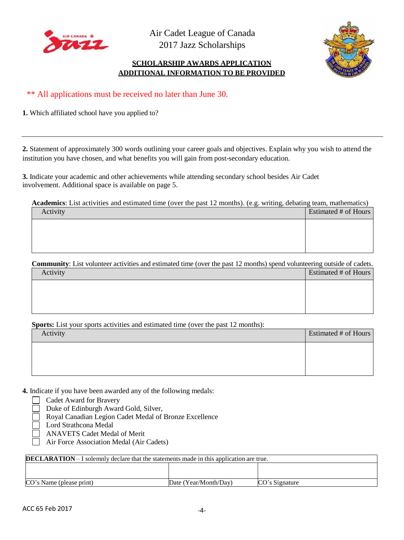



### **SCHOLARSHIP AWARDS APPLICATION ADDITIONAL INFORMATION TO BE PROVIDED**

\*\* All applications must be received no later than June 30.

**1.** Which affiliated school have you applied to?

**2.** Statement of approximately 300 words outlining your career goals and objectives. Explain why you wish to attend the institution you have chosen, and what benefits you will gain from post-secondary education.

**3.** Indicate your academic and other achievements while attending secondary school besides Air Cadet involvement. Additional space is available on page 5.

**Academics**: List activities and estimated time (over the past 12 months). (e.g. writing, debating team, mathematics)  $\overline{\phantom{a}}$  Activity  $\overline{\phantom{a}}$  Estimated # of Hours

| 11011 | $\mu$ <sub>1</sub> $\mu$ <sub>1</sub> $\mu$ <sub>1</sub> $\mu$ <sub>1</sub> $\mu$ <sub>1</sub> $\mu$ <sub>1</sub> |
|-------|-------------------------------------------------------------------------------------------------------------------|
|       |                                                                                                                   |
|       |                                                                                                                   |
|       |                                                                                                                   |
|       |                                                                                                                   |
|       |                                                                                                                   |

**Community**: List volunteer activities and estimated time (over the past 12 months) spend volunteering outside of cadets.

| Activity | Estimated # of Hours |
|----------|----------------------|
|          |                      |
|          |                      |
|          |                      |

**Sports:** List your sports activities and estimated time (over the past 12 months):

| Activity | Estimated # of Hours |
|----------|----------------------|
|          |                      |
|          |                      |
|          |                      |

**4.** Indicate if you have been awarded any of the following medals:

Cadet Award for Bravery

Duke of Edinburgh Award Gold, Silver,

Royal Canadian Legion Cadet Medal of Bronze Excellence

Lord Strathcona Medal

ANAVETS Cadet Medal of Merit

Air Force Association Medal (Air Cadets)

| <b>DECLARATION</b> – I solemnly declare that the statements made in this application are true. |                       |                |  |  |  |  |
|------------------------------------------------------------------------------------------------|-----------------------|----------------|--|--|--|--|
|                                                                                                |                       |                |  |  |  |  |
|                                                                                                |                       |                |  |  |  |  |
| CO's Name (please print)                                                                       | Date (Year/Month/Day) | CO's Signature |  |  |  |  |